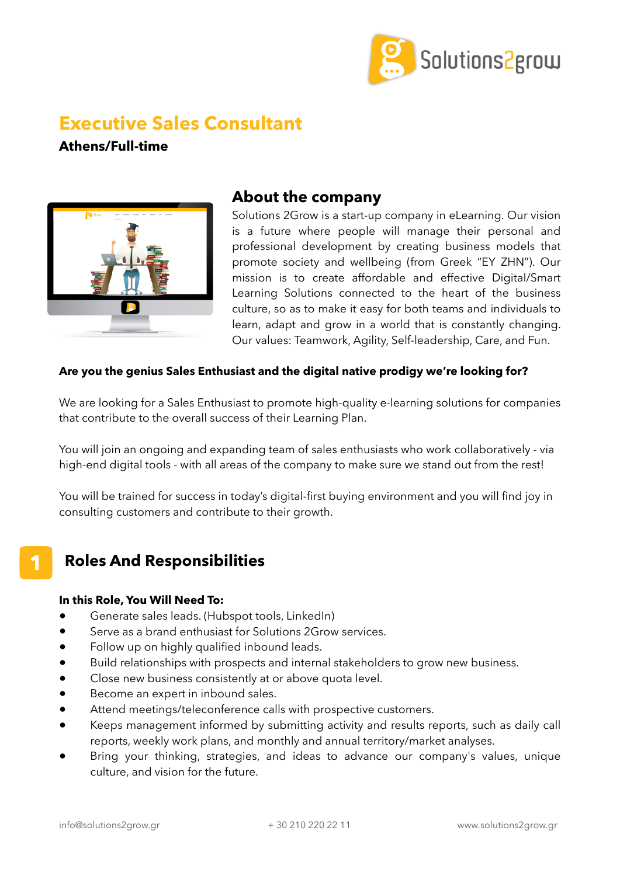

# **Executive Sales Consultant**

**Athens/Full-time**



## **About the company**

Solutions 2Grow is a start-up company in eLearning. Our vision is a future where people will manage their personal and professional development by creating business models that promote society and wellbeing (from Greek "ΕΥ ΖΗΝ"). Our mission is to create affordable and effective Digital/Smart Learning Solutions connected to the heart of the business culture, so as to make it easy for both teams and individuals to learn, adapt and grow in a world that is constantly changing. Our values: Teamwork, Agility, Self-leadership, Care, and Fun.

### **Are you the genius Sales Enthusiast and the digital native prodigy we're looking for?**

We are looking for a Sales Enthusiast to promote high-quality e-learning solutions for companies that contribute to the overall success of their Learning Plan.

You will join an ongoing and expanding team of sales enthusiasts who work collaboratively - via high-end digital tools - with all areas of the company to make sure we stand out from the rest!

You will be trained for success in today's digital-first buying environment and you will find joy in consulting customers and contribute to their growth.

# **Roles And Responsibilities**

#### **In this Role, You Will Need To:**

**1**

- Generate sales leads. (Hubspot tools, LinkedIn)
- Serve as a brand enthusiast for Solutions 2Grow services.
- Follow up on highly qualified inbound leads.
- Build relationships with prospects and internal stakeholders to grow new business.
- Close new business consistently at or above quota level.
- Become an expert in inbound sales.
- Attend meetings/teleconference calls with prospective customers.
- Keeps management informed by submitting activity and results reports, such as daily call reports, weekly work plans, and monthly and annual territory/market analyses.
- Bring your thinking, strategies, and ideas to advance our company's values, unique culture, and vision for the future.